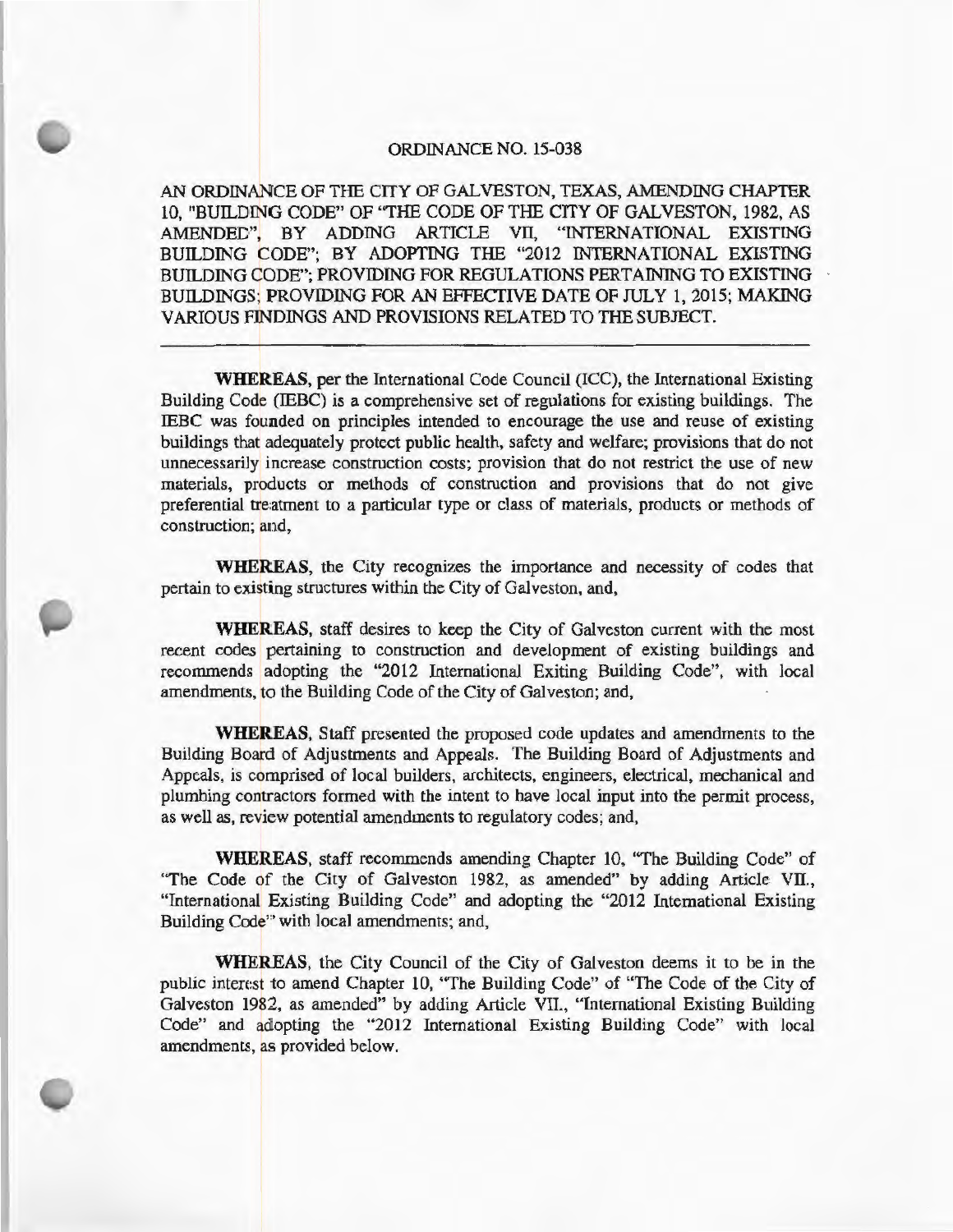#### ORDINANCE NO. 15-038

AN ORDINANCE OF THE CITY OF GALVESTON, TEXAS, AMENDING CHAPTER 10, "BUILDING CODE" OF "THE CODE OF THE CITY OF GALVESTON, 1982, AS AMENDED", BY ADDING ARTICLE VII, "INTERNATIONAL EXISTING BUILDING CODE"; BY ADOPTING THE "2012 INTERNATIONAL EXISTING BUILDING CODE"; PROVIDING FOR REGULATIONS PERTAINING TO EXISTING BUllDINGS; PROVIDING FOR AN EFFECTIVE DATE OF JULY 1, 2015; MAKING VARIOUS FINDINGS AND PROVISIONS RELATED TO THE SUBJECT.

WHEREAS, per the International Code Council (ICC), the International Existing Building Code (IEBC) is a comprehensive set of regulations for existing buildings. The IEBC was founded on principles intended to encourage the use and reuse of existing buildings that adequately protect public health, safety and welfare; provisions that do not unnecessarily increase construction costs; provision that do not restrict the use of new materials, products or methods of construction and provisions that do not give preferential treatment to a particular type or class of materials, products or methods of construction; and,

WHEREAS, the City recognizes the importance and necessity of codes that pertain to existing structures within the City of Galveston, and,

WHEREAS, staff desires to keep the City of Galveston current with the most recent codes pertaining to construction and development of existing buildings and recommends adopting the "2012 International Exiting Building Code", with local amendments, to the Building Code of the City of Galveston; and,

WHEREAS, Staff presented the proposed code updates and amendments to the Building Board of Adjustments and Appeals. The Building Board of Adjustments and Appeals, is comprised of local builders, architects, engineers, electrical, mechanical and plumbing contractors formed with the intent to have local input into the permit process, as well as, review potential amendments to regulatory codes; and,

WHEREAS, staff recommends amending Chapter 10, "The Building Code" of "The Code of the City of Galveston 1982, as amended" by adding Article VII., "International Existing Building Code" and adopting the "2012 International Existing Building Code" with local amendments; and,

WHEREAS, the City Council of the City of Galveston deems it to be in the public interest to amend Chapter 10, "The Building Code" of "The Code of the City of Galveston 1982, as amended" by adding Article VIT., "International Existing Building Code" and adopting the "2012 International Existing Building Code" with local amendments, as provided below.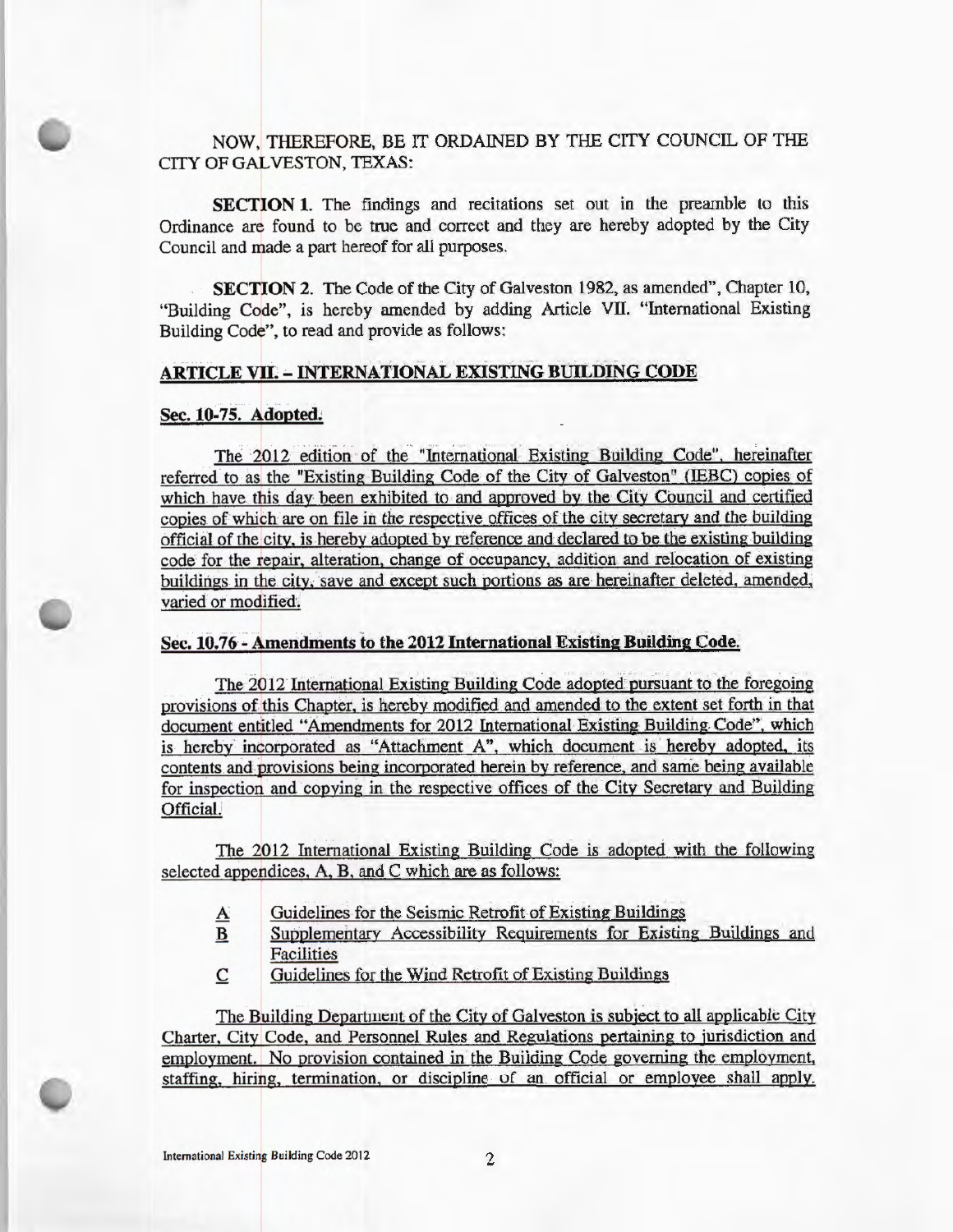NOW, THEREFORE, BE IT ORDAJNED BY THE CITY COUNCIL OF THE CITY OF GALVESTON, TEXAS:

SECTION 1. The findings and recitations set out in the preamble to this Ordinance are found to be true and correct and they are hereby adopted by the City Council and made a part hereof for all purposes.

SECTION 2. The Code of the City of Galveston 1982, as amended", Chapter 10, "Building Code", is hereby amended by adding Article VII. "International Existing Building Code", to read and provide as follows:

## ARTICLE VII. - INTERNATIONAL EXISTING BUILDING CODE

#### Sec. 10-75. Adopted.

The 2012 edition of the "International Existing Building Code", hereinafter referred to as the "Existing Building Code of the City of Galveston" (IEBC) copies of which have this day been exhibited to and approved by the City Council and certified copies of which are on file in the respective offices of the city secretary and the building official of the city, is hereby adopted by reference and declared to be the existing building code for the repair, alteration, change of occupancy, addition and relocation of existing buildings in the city, save and except such portions as are hereinafter deleted, amended; varied or modified.

### Sec.10.76 <sup>~</sup>Amendments to the 2012 International EXisting Building Code.

The 2012 International Existing Building Code adopted pursuant to the foregoing provisions of this Chapter, is hereby modified and amended to the extent set forth in that document entitled "Amendments for 2012 International Existing Building Code", which is hereby incorporated as "Attachment A", which document is hereby adopted, its contents and provisions being incorporated herein by reference, and same being available for inspection and copying in the respective offices of the City Secretary and Building Official.:

The 2012 International. Existing Building Code is adopted with the following selected appendices, A, B. and C which are as follows:

- $\underline{A}$  Guidelines for the Seismic Retrofit of Existing Buildings
- B Supplementary Accessibility Requirements for Existing- Buildings and **Facilities**
- C Guidelines for the Wind Retrofit of Existing Buildings

The Building Department of the City of Galveston is subject to all applicable City Charter. City Code. and Personnel Rules and Regulations pertaining to jurisdiction and employment. No provision contained in the Building Code governing the employment, staffing, hiring, termination, or discipline of an official or employee shall apply.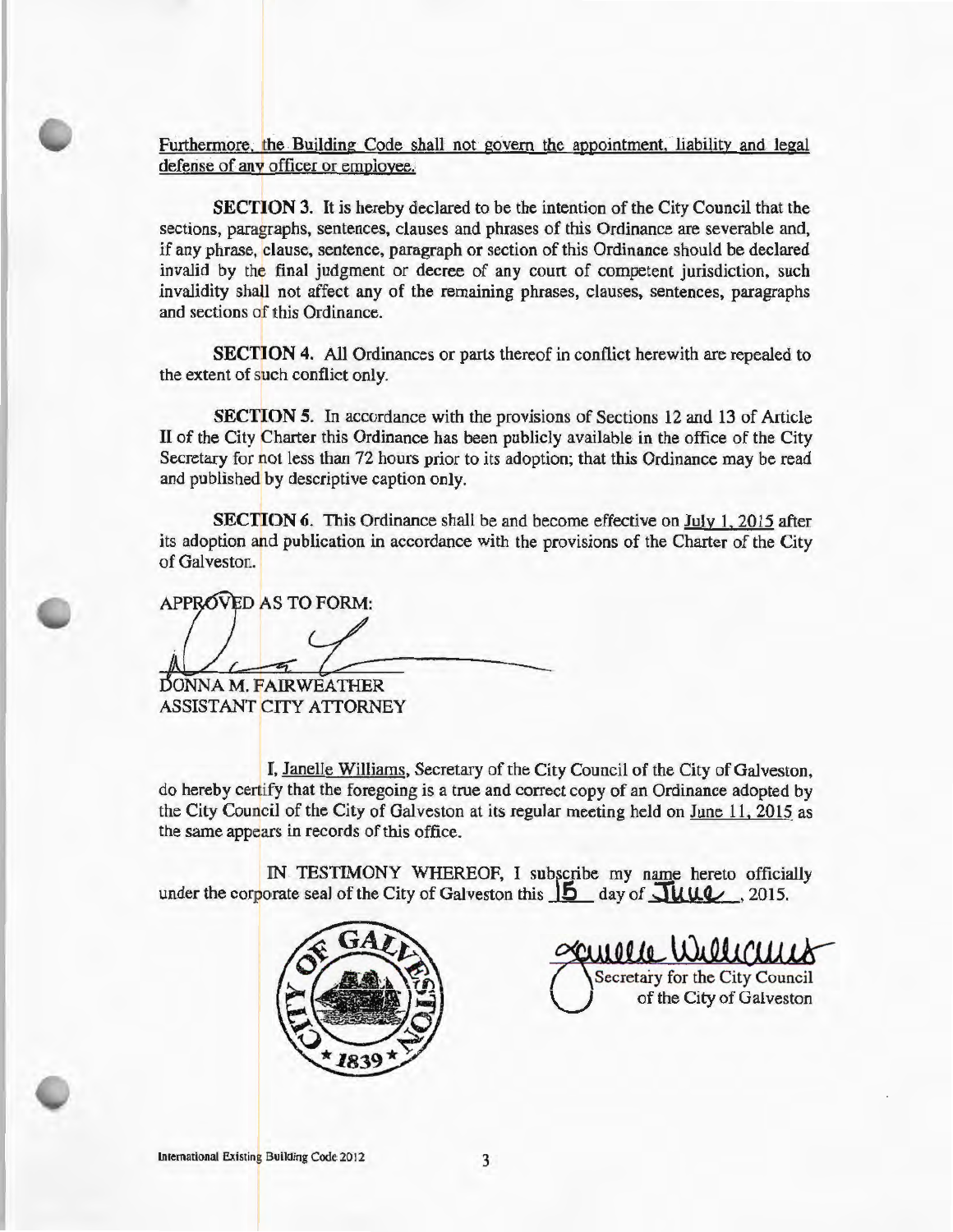Furthermore, the Building Code shall not govern the appointment, liability and legal defense of any officer or employee.

SECTION 3. It is hereby declared to be the intention of the City Council that the sections, paragraphs, sentences, clauses and phrases of this Ordinance are severable and, if any phrase, clause, sentence, paragraph or section of this Ordinance should be declared invalid by the final judgment or decree of any court of competent jurisdiction, such invalidity shall not affect any of the remaining phrases, clauses, sentences, paragraphs and sections of this Ordinance.

SECTION 4. All Ordinances or parts thereof in conflict herewith are repealed to the extent of such conflict only.

SECTION 5. In accordance with the provisions of Sections 12 and 13 of Article ll of the City Charter this Ordinance has been publicly available in the office of the City Secretary for not less than 72 hours prior to its adoption; that this Ordinance may be read and published by descriptive caption only.

SECTION 6. This Ordinance shall be and become effective on July 1, 2015 after its adoption and publication in accordance with the provisions of the Charter of the City of Galveston.

APPROVED AS TO FORM:

ONNA M. FAIRWEATHER ASSISTANT CITY ATTORNEY

I, Janelle Williams, Secretary of the City Council of the City of Galveston, do hereby certify that the foregoing is a true and correct copy of an Ordinance adopted by the City Council of the City of Galveston at its regular meeting held on June 11, 2015 as the same appears in records of this office.

IN TESTIMONY WHEREOF, I subscribe my name hereto officially under the corporate seal of the City of Galveston this  $\overline{5}$  day of  $\overline{JWW}$ , 2015.



 $\alpha$ 1100 to Willettin Secretary for the City Council of the City of Galveston

International Existing Building Code 2012 3